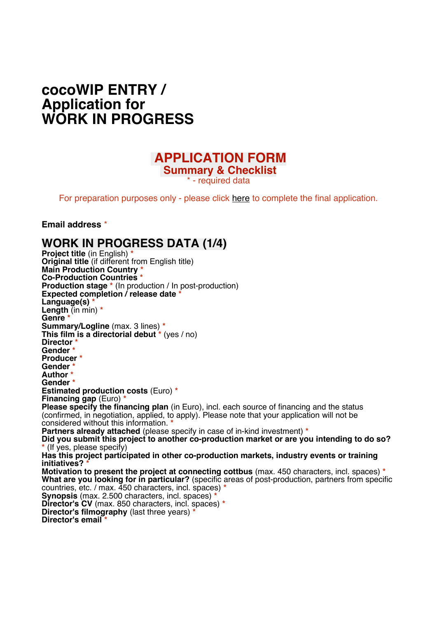# **cocoWIP ENTRY / Application for WORK IN PROGRESS**

### **APPLICATION FORM Summary & Checklist**

\* - required data

For preparation purposes only - please click [here](https://forms.gle/e4m3CYGjrJ9qRvrGA) to complete the final application.

**Email address** \*

#### **WORK IN PROGRESS DATA (1/4)**

**Project title** (in English) **\* Original title** (if different from English title) **Main Production Country \* Co-Production Countries \* Production stage \*** (In production / In post-production) **Expected completion / release date \*** Language(s) **Length** (in min) **\* Genre \* Summary/Logline** (max. 3 lines) **\* This film is a directorial debut \*** (yes / no) **Director \* Gender \* Producer \* Gender \* Author \* Gender \* Estimated production costs** (Euro) **\* Financing gap** (Euro) **\* Please specify the financing plan** (in Euro), incl. each source of financing and the status (confirmed, in negotiation, applied, to apply). Please note that your application will not be considered without this information. **\* Partners already attached** (please specify in case of in-kind investment) **\*** Did you submit this project to another co-production market or are you intending to do so? **\*** (If yes, please specify) **Has this project participated in other co-production markets, industry events or training initiatives? \* Motivation to present the project at connecting cottbus** (max. 450 characters, incl. spaces) **\* What are you looking for in particular?** (specific areas of post-production, partners from specific countries, etc. / max. 450 characters, incl. spaces) **\* Synopsis** (max. 2.500 characters, incl. spaces) **\* Director's CV** (max. 850 characters, incl. spaces) **\* Director's filmography** (last three years) **\***

**Director's email \***